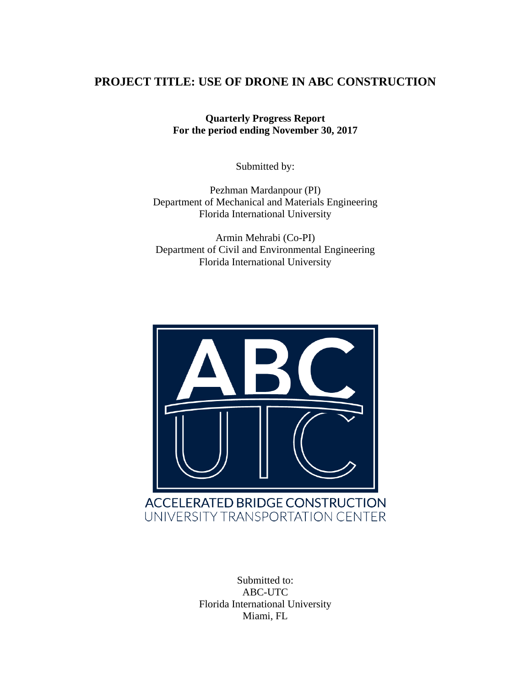#### **PROJECT TITLE: USE OF DRONE IN ABC CONSTRUCTION**

**Quarterly Progress Report For the period ending November 30, 2017**

Submitted by:

Pezhman Mardanpour (PI) Department of Mechanical and Materials Engineering Florida International University

Armin Mehrabi (Co-PI) Department of Civil and Environmental Engineering Florida International University



Submitted to: ABC-UTC Florida International University Miami, FL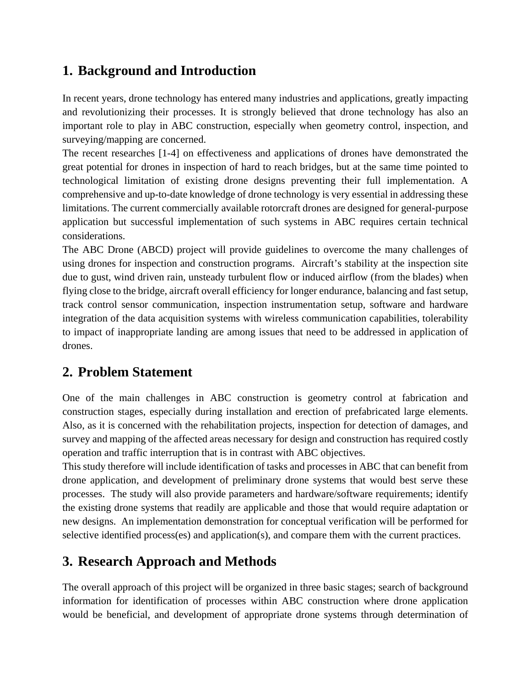# **1. Background and Introduction**

In recent years, drone technology has entered many industries and applications, greatly impacting and revolutionizing their processes. It is strongly believed that drone technology has also an important role to play in ABC construction, especially when geometry control, inspection, and surveying/mapping are concerned.

The recent researches [1-4] on effectiveness and applications of drones have demonstrated the great potential for drones in inspection of hard to reach bridges, but at the same time pointed to technological limitation of existing drone designs preventing their full implementation. A comprehensive and up-to-date knowledge of drone technology is very essential in addressing these limitations. The current commercially available rotorcraft drones are designed for general-purpose application but successful implementation of such systems in ABC requires certain technical considerations.

The ABC Drone (ABCD) project will provide guidelines to overcome the many challenges of using drones for inspection and construction programs. Aircraft's stability at the inspection site due to gust, wind driven rain, unsteady turbulent flow or induced airflow (from the blades) when flying close to the bridge, aircraft overall efficiency for longer endurance, balancing and fast setup, track control sensor communication, inspection instrumentation setup, software and hardware integration of the data acquisition systems with wireless communication capabilities, tolerability to impact of inappropriate landing are among issues that need to be addressed in application of drones.

# **2. Problem Statement**

One of the main challenges in ABC construction is geometry control at fabrication and construction stages, especially during installation and erection of prefabricated large elements. Also, as it is concerned with the rehabilitation projects, inspection for detection of damages, and survey and mapping of the affected areas necessary for design and construction has required costly operation and traffic interruption that is in contrast with ABC objectives.

This study therefore will include identification of tasks and processes in ABC that can benefit from drone application, and development of preliminary drone systems that would best serve these processes. The study will also provide parameters and hardware/software requirements; identify the existing drone systems that readily are applicable and those that would require adaptation or new designs. An implementation demonstration for conceptual verification will be performed for selective identified process(es) and application(s), and compare them with the current practices.

# **3. Research Approach and Methods**

The overall approach of this project will be organized in three basic stages; search of background information for identification of processes within ABC construction where drone application would be beneficial, and development of appropriate drone systems through determination of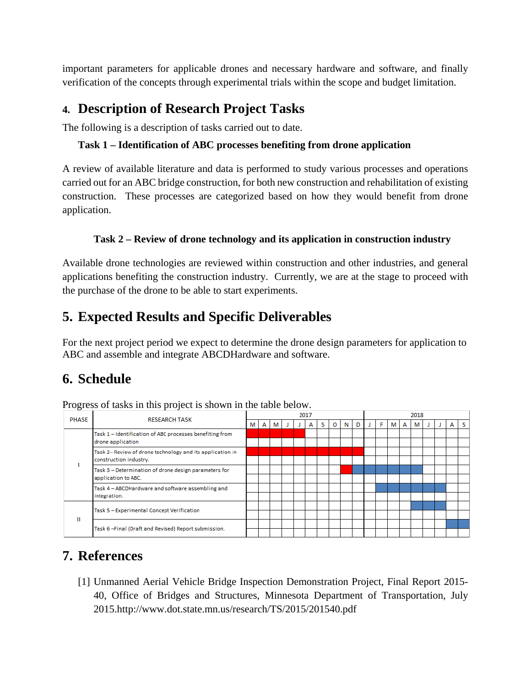important parameters for applicable drones and necessary hardware and software, and finally verification of the concepts through experimental trials within the scope and budget limitation.

## **4. Description of Research Project Tasks**

The following is a description of tasks carried out to date.

#### **Task 1 – Identification of ABC processes benefiting from drone application**

A review of available literature and data is performed to study various processes and operations carried out for an ABC bridge construction, for both new construction and rehabilitation of existing construction. These processes are categorized based on how they would benefit from drone application.

#### **Task 2 – Review of drone technology and its application in construction industry**

Available drone technologies are reviewed within construction and other industries, and general applications benefiting the construction industry. Currently, we are at the stage to proceed with the purchase of the drone to be able to start experiments.

## **5. Expected Results and Specific Deliverables**

For the next project period we expect to determine the drone design parameters for application to ABC and assemble and integrate ABCDHardware and software.

## **6. Schedule**

Progress of tasks in this project is shown in the table below.

| <b>PHASE</b> | <b>RESEARCH TASK</b>                                                               | 2017 |   |   |  |  |   |   |   |   | 2018 |  |   |   |   |   |  |  |   |  |
|--------------|------------------------------------------------------------------------------------|------|---|---|--|--|---|---|---|---|------|--|---|---|---|---|--|--|---|--|
|              |                                                                                    | MI   | A | м |  |  | А | s | O | N | D    |  | F | м | А | м |  |  | A |  |
|              | Task 1 - Identification of ABC processes benefiting from<br>drone application      |      |   |   |  |  |   |   |   |   |      |  |   |   |   |   |  |  |   |  |
|              | Task 2-Review of drone technology and its application in<br>construction industry. |      |   |   |  |  |   |   |   |   |      |  |   |   |   |   |  |  |   |  |
|              | Task 3 - Determination of drone design parameters for<br>application to ABC.       |      |   |   |  |  |   |   |   |   |      |  |   |   |   |   |  |  |   |  |
|              | Task 4 - ABCDHardware and software assembling and<br>integration.                  |      |   |   |  |  |   |   |   |   |      |  |   |   |   |   |  |  |   |  |
| Ш            | Task 5 - Experimental Concept Verification                                         |      |   |   |  |  |   |   |   |   |      |  |   |   |   |   |  |  |   |  |
|              |                                                                                    |      |   |   |  |  |   |   |   |   |      |  |   |   |   |   |  |  |   |  |
|              | Task 6-Final (Draft and Revised) Report submission.                                |      |   |   |  |  |   |   |   |   |      |  |   |   |   |   |  |  |   |  |

## **7. References**

[1] Unmanned Aerial Vehicle Bridge Inspection Demonstration Project, Final Report 2015- 40, Office of Bridges and Structures, Minnesota Department of Transportation, July 2015.http://www.dot.state.mn.us/research/TS/2015/201540.pdf